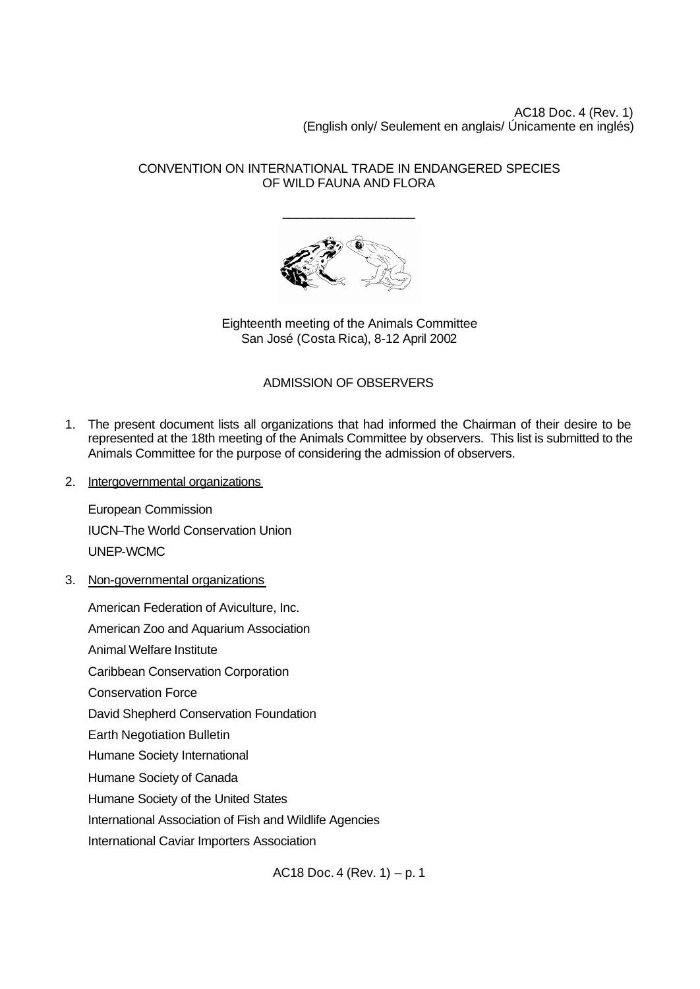AC18 Doc. 4 (Rev. 1) (English only/ Seulement en anglais/ Únicamente en inglés)

## CONVENTION ON INTERNATIONAL TRADE IN ENDANGERED SPECIES OF WILD FAUNA AND FLORA

\_\_\_\_\_\_\_\_\_\_\_\_\_\_\_\_\_\_\_



Eighteenth meeting of the Animals Committee San José (Costa Rica), 8-12 April 2002

## ADMISSION OF OBSERVERS

- 1. The present document lists all organizations that had informed the Chairman of their desire to be represented at the 18th meeting of the Animals Committee by observers. This list is submitted to the Animals Committee for the purpose of considering the admission of observers.
- 2. Intergovernmental organizations

European Commission IUCN–The World Conservation Union UNEP-WCMC

3. Non-governmental organizations

American Federation of Aviculture, Inc. American Zoo and Aquarium Association Animal Welfare Institute Caribbean Conservation Corporation Conservation Force David Shepherd Conservation Foundation Earth Negotiation Bulletin Humane Society International Humane Society of Canada Humane Society of the United States International Association of Fish and Wildlife Agencies International Caviar Importers Association

AC18 Doc. 4 (Rev. 1) – p. 1